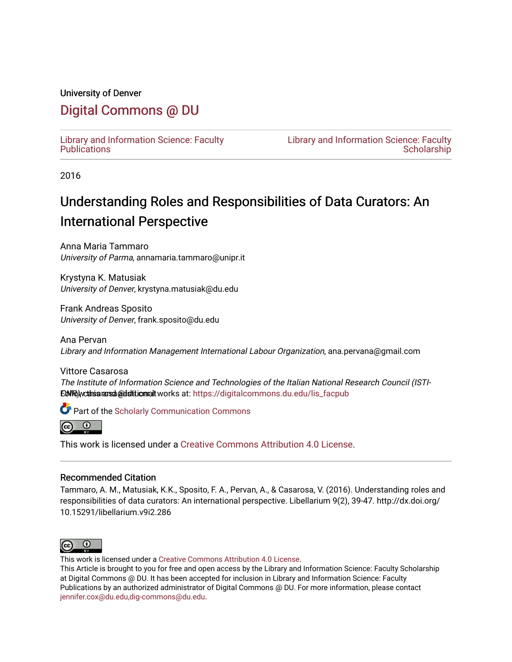#### University of Denver

## [Digital Commons @ DU](https://digitalcommons.du.edu/)

[Library and Information Science: Faculty](https://digitalcommons.du.edu/lis_facpub)  **Publications** 

[Library and Information Science: Faculty](https://digitalcommons.du.edu/lis_faculty)  **Scholarship** 

2016

# Understanding Roles and Responsibilities of Data Curators: An International Perspective

Anna Maria Tammaro University of Parma, annamaria.tammaro@unipr.it

Krystyna K. Matusiak University of Denver, krystyna.matusiak@du.edu

Frank Andreas Sposito University of Denver, frank.sposito@du.edu

Ana Pervan Library and Information Management International Labour Organization, ana.pervana@gmail.com

Vittore Casarosa The Institute of Information Science and Technologies of the Italian National Research Council (ISTI-EdWR) wchis a rasa @dsittionalt works at: https://digitalcommons.du.edu/lis\_facpub

**Part of the Scholarly Communication Commons** 



This work is licensed under a [Creative Commons Attribution 4.0 License](https://creativecommons.org/licenses/by/4.0/).

#### Recommended Citation

Tammaro, A. M., Matusiak, K.K., Sposito, F. A., Pervan, A., & Casarosa, V. (2016). Understanding roles and responsibilities of data curators: An international perspective. Libellarium 9(2), 39-47. http://dx.doi.org/ 10.15291/libellarium.v9i2.286



This work is licensed under a [Creative Commons Attribution 4.0 License](https://creativecommons.org/licenses/by/4.0/).

This Article is brought to you for free and open access by the Library and Information Science: Faculty Scholarship at Digital Commons @ DU. It has been accepted for inclusion in Library and Information Science: Faculty Publications by an authorized administrator of Digital Commons @ DU. For more information, please contact [jennifer.cox@du.edu,dig-commons@du.edu](mailto:jennifer.cox@du.edu,dig-commons@du.edu).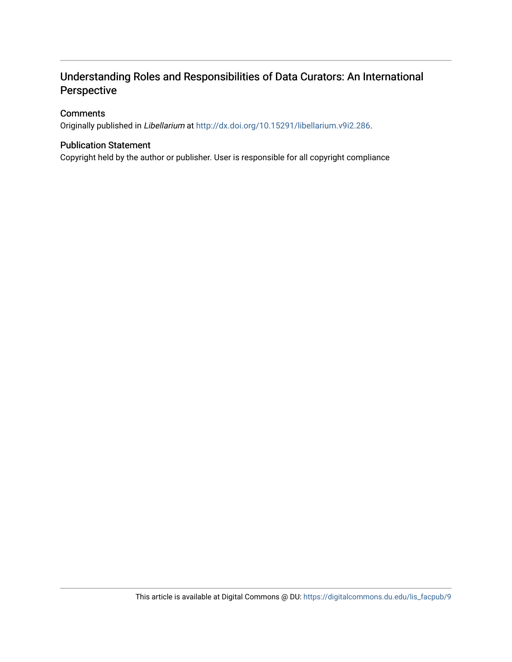### Understanding Roles and Responsibilities of Data Curators: An International Perspective

#### **Comments**

Originally published in Libellarium at [http://dx.doi.org/10.15291/libellarium.v9i2.286.](http://dx.doi.org/10.15291/libellarium.v9i2.286)

#### Publication Statement

Copyright held by the author or publisher. User is responsible for all copyright compliance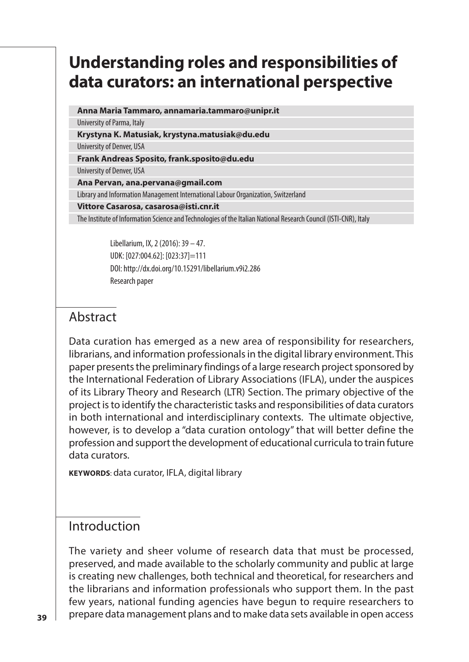## **Understanding roles and responsibilities of data curators: an international perspective**

**Anna Maria Tammaro, annamaria.tammaro@unipr.it** 

University of Parma, Italy

**Krystyna K. Matusiak, krystyna.matusiak@du.edu**  University of Denver, USA

**Frank Andreas Sposito, frank.sposito@du.edu**

University of Denver, USA

**Ana Pervan, ana.pervana@gmail.com**  Library and Information Management International Labour Organization, Switzerland

**Vittore Casarosa, casarosa@isti.cnr.it** 

The Institute of Information Science and Technologies of the Italian National Research Council (ISTI-CNR), Italy

Libellarium, IX, 2 (2016): 39 – 47. UDK: [027:004.62]: [023:37]=111 DOI: http://dx.doi.org/10.15291/libellarium.v9i2.286 Research paper

### Abstract

Data curation has emerged as a new area of responsibility for researchers, librarians, and information professionals in the digital library environment. This paper presents the preliminary findings of a large research project sponsored by the International Federation of Library Associations (IFLA), under the auspices of its Library Theory and Research (LTR) Section. The primary objective of the project is to identify the characteristic tasks and responsibilities of data curators in both international and interdisciplinary contexts. The ultimate objective, however, is to develop a "data curation ontology" that will better define the profession and support the development of educational curricula to train future data curators.

**KEYWORDS**: data curator, IFLA, digital library

### Introduction

The variety and sheer volume of research data that must be processed, preserved, and made available to the scholarly community and public at large is creating new challenges, both technical and theoretical, for researchers and the librarians and information professionals who support them. In the past few years, national funding agencies have begun to require researchers to prepare data management plans and to make data sets available in open access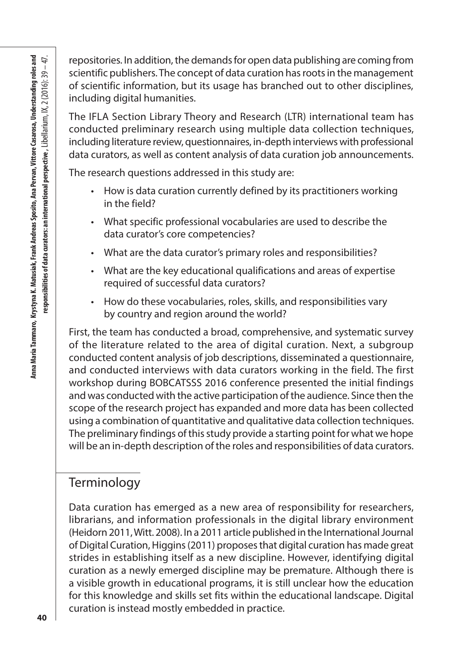repositories. In addition, the demands for open data publishing are coming from scientific publishers. The concept of data curation has roots in the management of scientific information, but its usage has branched out to other disciplines, including digital humanities.

The IFLA Section Library Theory and Research (LTR) international team has conducted preliminary research using multiple data collection techniques, including literature review, questionnaires, in-depth interviews with professional data curators, as well as content analysis of data curation job announcements.

The research questions addressed in this study are:

- How is data curation currently defined by its practitioners working in the field?
- What specific professional vocabularies are used to describe the data curator's core competencies?
- What are the data curator's primary roles and responsibilities?
- What are the key educational qualifications and areas of expertise required of successful data curators?
- How do these vocabularies, roles, skills, and responsibilities vary by country and region around the world?

First, the team has conducted a broad, comprehensive, and systematic survey of the literature related to the area of digital curation. Next, a subgroup conducted content analysis of job descriptions, disseminated a questionnaire, and conducted interviews with data curators working in the field. The first workshop during BOBCATSSS 2016 conference presented the initial findings and was conducted with the active participation of the audience. Since then the scope of the research project has expanded and more data has been collected using a combination of quantitative and qualitative data collection techniques. The preliminary findings of this study provide a starting point for what we hope will be an in-depth description of the roles and responsibilities of data curators.

### Terminology

Data curation has emerged as a new area of responsibility for researchers, librarians, and information professionals in the digital library environment (Heidorn 2011, Witt. 2008). In a 2011 article published in the International Journal of Digital Curation, Higgins (2011) proposes that digital curation has made great strides in establishing itself as a new discipline. However, identifying digital curation as a newly emerged discipline may be premature. Although there is a visible growth in educational programs, it is still unclear how the education for this knowledge and skills set fits within the educational landscape. Digital curation is instead mostly embedded in practice.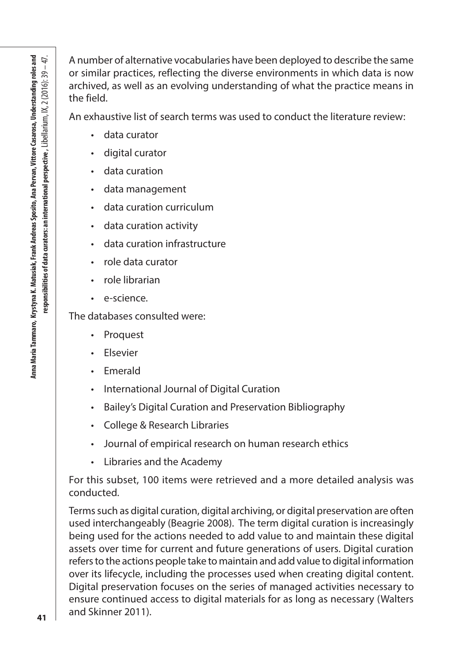Anna Maria Tammaro, Krystyna K. Matusiak, Frank Andreas Sposito, Ana Pervan, Vittore Casarosa, Understanding roles and Anna Maria Tammaro, Krystyna K. Matusiak, Frank Andreas Sposito, Ana Pervan, Vittore Casarosa, Understanding roles and<br>Her and the Starter of the Superior Starter of the Starter of the Starter of the Starter of the Starter responsibilities of data curators: an international perspective , Libellarium,  $\mathsf{IX}, 2$  (2016): 39 – 47. A number of alternative vocabularies have been deployed to describe the same or similar practices, reflecting the diverse environments in which data is now archived, as well as an evolving understanding of what the practice means in the field.

An exhaustive list of search terms was used to conduct the literature review:

- data curator
- digital curator
- data curation
- data management
- data curation curriculum
- data curation activity
- data curation infrastructure
- role data curator
- role librarian
- e-science.

The databases consulted were:

- Proquest
- Elsevier
- Emerald
- International Journal of Digital Curation
- Bailey's Digital Curation and Preservation Bibliography
- College & Research Libraries
- Journal of empirical research on human research ethics
- Libraries and the Academy

For this subset, 100 items were retrieved and a more detailed analysis was conducted.

Terms such as digital curation, digital archiving, or digital preservation are often used interchangeably (Beagrie 2008). The term digital curation is increasingly being used for the actions needed to add value to and maintain these digital assets over time for current and future generations of users. Digital curation refers to the actions people take to maintain and add value to digital information over its lifecycle, including the processes used when creating digital content. Digital preservation focuses on the series of managed activities necessary to ensure continued access to digital materials for as long as necessary (Walters and Skinner 2011).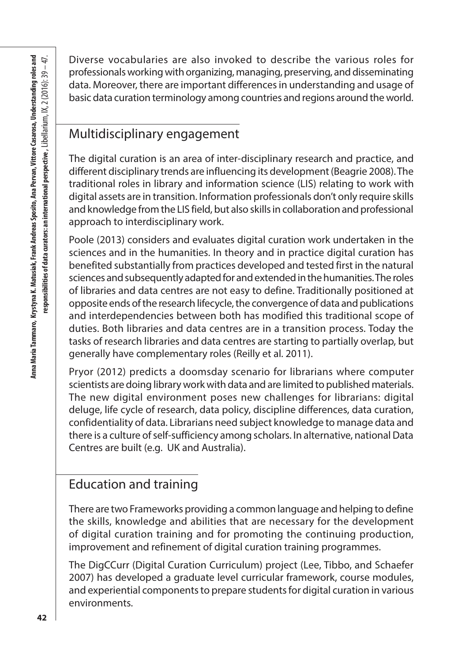Diverse vocabularies are also invoked to describe the various roles for professionals working with organizing, managing, preserving, and disseminating data. Moreover, there are important differences in understanding and usage of basic data curation terminology among countries and regions around the world.

### Multidisciplinary engagement

The digital curation is an area of inter-disciplinary research and practice, and different disciplinary trends are influencing its development (Beagrie 2008). The traditional roles in library and information science (LIS) relating to work with digital assets are in transition. Information professionals don't only require skills and knowledge from the LIS field, but also skills in collaboration and professional approach to interdisciplinary work.

Poole (2013) considers and evaluates digital curation work undertaken in the sciences and in the humanities. In theory and in practice digital curation has benefited substantially from practices developed and tested first in the natural sciences and subsequently adapted for and extended in the humanities. The roles of libraries and data centres are not easy to define. Traditionally positioned at opposite ends of the research lifecycle, the convergence of data and publications and interdependencies between both has modified this traditional scope of duties. Both libraries and data centres are in a transition process. Today the tasks of research libraries and data centres are starting to partially overlap, but generally have complementary roles (Reilly et al. 2011).

Pryor (2012) predicts a doomsday scenario for librarians where computer scientists are doing library work with data and are limited to published materials. The new digital environment poses new challenges for librarians: digital deluge, life cycle of research, data policy, discipline differences, data curation, confidentiality of data. Librarians need subject knowledge to manage data and there is a culture of self-sufficiency among scholars. In alternative, national Data Centres are built (e.g. UK and Australia).

### Education and training

There are two Frameworks providing a common language and helping to define the skills, knowledge and abilities that are necessary for the development of digital curation training and for promoting the continuing production, improvement and refinement of digital curation training programmes.

The DigCCurr (Digital Curation Curriculum) project (Lee, Tibbo, and Schaefer 2007) has developed a graduate level curricular framework, course modules, and experiential components to prepare students for digital curation in various environments.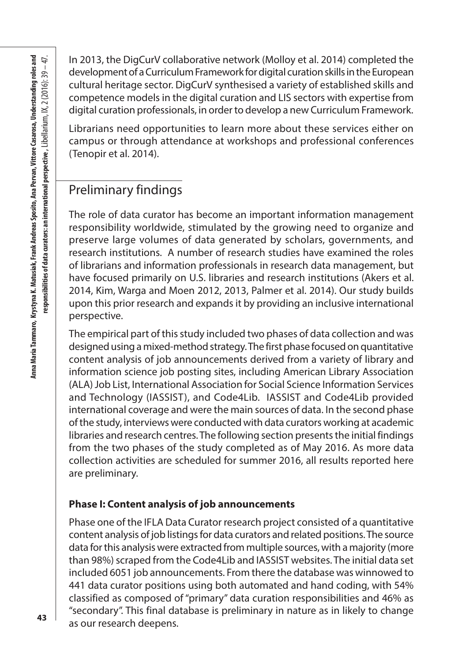In 2013, the DigCurV collaborative network (Molloy et al. 2014) completed the development of a Curriculum Framework for digital curation skills in the European cultural heritage sector. DigCurV synthesised a variety of established skills and competence models in the digital curation and LIS sectors with expertise from digital curation professionals, in order to develop a new Curriculum Framework.

Librarians need opportunities to learn more about these services either on campus or through attendance at workshops and professional conferences (Tenopir et al. 2014).

#### Preliminary findings

The role of data curator has become an important information management responsibility worldwide, stimulated by the growing need to organize and preserve large volumes of data generated by scholars, governments, and research institutions. A number of research studies have examined the roles of librarians and information professionals in research data management, but have focused primarily on U.S. libraries and research institutions (Akers et al. 2014, Kim, Warga and Moen 2012, 2013, Palmer et al. 2014). Our study builds upon this prior research and expands it by providing an inclusive international perspective.

The empirical part of this study included two phases of data collection and was designed using a mixed-method strategy. The first phase focused on quantitative content analysis of job announcements derived from a variety of library and information science job posting sites, including American Library Association (ALA) Job List, International Association for Social Science Information Services and Technology (IASSIST), and Code4Lib. IASSIST and Code4Lib provided international coverage and were the main sources of data. In the second phase of the study, interviews were conducted with data curators working at academic libraries and research centres. The following section presents the initial findings from the two phases of the study completed as of May 2016. As more data collection activities are scheduled for summer 2016, all results reported here are preliminary.

#### **Phase I: Content analysis of job announcements**

Phase one of the IFLA Data Curator research project consisted of a quantitative content analysis of job listings for data curators and related positions. The source data for this analysis were extracted from multiple sources, with a majority (more than 98%) scraped from the Code4Lib and IASSIST websites. The initial data set included 6051 job announcements. From there the database was winnowed to 441 data curator positions using both automated and hand coding, with 54% classified as composed of "primary" data curation responsibilities and 46% as "secondary". This final database is preliminary in nature as in likely to change as our research deepens.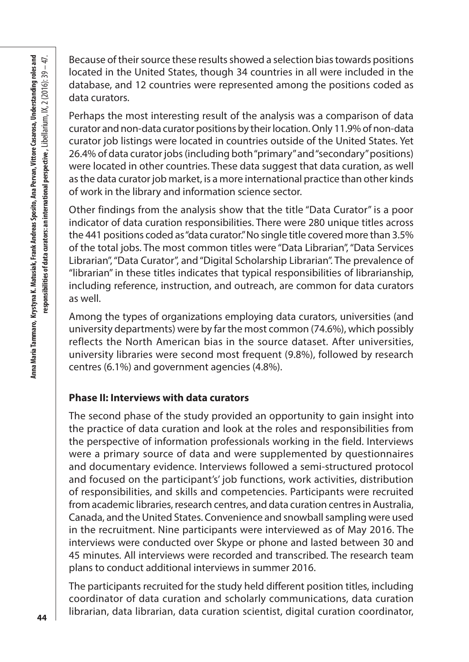Because of their source these results showed a selection bias towards positions located in the United States, though 34 countries in all were included in the database, and 12 countries were represented among the positions coded as data curators.

Perhaps the most interesting result of the analysis was a comparison of data curator and non-data curator positions by their location. Only 11.9% of non-data curator job listings were located in countries outside of the United States. Yet 26.4% of data curator jobs (including both "primary" and "secondary" positions) were located in other countries. These data suggest that data curation, as well as the data curator job market, is a more international practice than other kinds of work in the library and information science sector.

Other findings from the analysis show that the title "Data Curator" is a poor indicator of data curation responsibilities. There were 280 unique titles across the 441 positions coded as "data curator." No single title covered more than 3.5% of the total jobs. The most common titles were "Data Librarian", "Data Services Librarian", "Data Curator", and "Digital Scholarship Librarian". The prevalence of "librarian" in these titles indicates that typical responsibilities of librarianship, including reference, instruction, and outreach, are common for data curators as well.

Among the types of organizations employing data curators, universities (and university departments) were by far the most common (74.6%), which possibly reflects the North American bias in the source dataset. After universities, university libraries were second most frequent (9.8%), followed by research centres (6.1%) and government agencies (4.8%).

#### **Phase II: Interviews with data curators**

The second phase of the study provided an opportunity to gain insight into the practice of data curation and look at the roles and responsibilities from the perspective of information professionals working in the field. Interviews were a primary source of data and were supplemented by questionnaires and documentary evidence. Interviews followed a semi-structured protocol and focused on the participant's' job functions, work activities, distribution of responsibilities, and skills and competencies. Participants were recruited from academic libraries, research centres, and data curation centres in Australia, Canada, and the United States. Convenience and snowball sampling were used in the recruitment. Nine participants were interviewed as of May 2016. The interviews were conducted over Skype or phone and lasted between 30 and 45 minutes. All interviews were recorded and transcribed. The research team plans to conduct additional interviews in summer 2016.

The participants recruited for the study held different position titles, including coordinator of data curation and scholarly communications, data curation librarian, data librarian, data curation scientist, digital curation coordinator,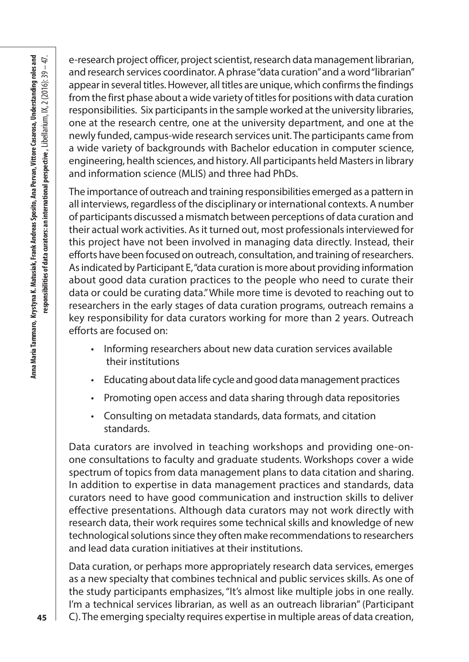e-research project officer, project scientist, research data management librarian, and research services coordinator. A phrase "data curation" and a word "librarian" appear in several titles. However, all titles are unique, which confirms the findings from the first phase about a wide variety of titles for positions with data curation responsibilities. Six participants in the sample worked at the university libraries, one at the research centre, one at the university department, and one at the newly funded, campus-wide research services unit. The participants came from a wide variety of backgrounds with Bachelor education in computer science, engineering, health sciences, and history. All participants held Masters in library and information science (MLIS) and three had PhDs.

The importance of outreach and training responsibilities emerged as a pattern in all interviews, regardless of the disciplinary or international contexts. A number of participants discussed a mismatch between perceptions of data curation and their actual work activities. As it turned out, most professionals interviewed for this project have not been involved in managing data directly. Instead, their efforts have been focused on outreach, consultation, and training of researchers. As indicated by Participant E, "data curation is more about providing information about good data curation practices to the people who need to curate their data or could be curating data." While more time is devoted to reaching out to researchers in the early stages of data curation programs, outreach remains a key responsibility for data curators working for more than 2 years. Outreach efforts are focused on:

- Informing researchers about new data curation services available their institutions
- Educating about data life cycle and good data management practices
- Promoting open access and data sharing through data repositories
- Consulting on metadata standards, data formats, and citation standards.

Data curators are involved in teaching workshops and providing one-onone consultations to faculty and graduate students. Workshops cover a wide spectrum of topics from data management plans to data citation and sharing. In addition to expertise in data management practices and standards, data curators need to have good communication and instruction skills to deliver effective presentations. Although data curators may not work directly with research data, their work requires some technical skills and knowledge of new technological solutions since they often make recommendations to researchers and lead data curation initiatives at their institutions.

Data curation, or perhaps more appropriately research data services, emerges as a new specialty that combines technical and public services skills. As one of the study participants emphasizes, "It's almost like multiple jobs in one really. I'm a technical services librarian, as well as an outreach librarian" (Participant C). The emerging specialty requires expertise in multiple areas of data creation,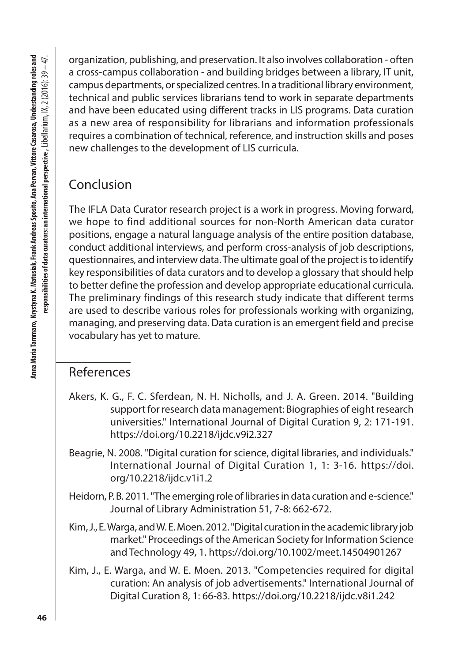organization, publishing, and preservation. It also involves collaboration - often a cross-campus collaboration - and building bridges between a library, IT unit, campus departments, or specialized centres. In a traditional library environment, technical and public services librarians tend to work in separate departments and have been educated using different tracks in LIS programs. Data curation as a new area of responsibility for librarians and information professionals requires a combination of technical, reference, and instruction skills and poses new challenges to the development of LIS curricula.

### Conclusion

The IFLA Data Curator research project is a work in progress. Moving forward, we hope to find additional sources for non-North American data curator positions, engage a natural language analysis of the entire position database, conduct additional interviews, and perform cross-analysis of job descriptions, questionnaires, and interview data. The ultimate goal of the project is to identify key responsibilities of data curators and to develop a glossary that should help to better define the profession and develop appropriate educational curricula. The preliminary findings of this research study indicate that different terms are used to describe various roles for professionals working with organizing, managing, and preserving data. Data curation is an emergent field and precise vocabulary has yet to mature.

#### References

- Akers, K. G., F. C. Sferdean, N. H. Nicholls, and J. A. Green. 2014. "Building support for research data management: Biographies of eight research universities." International Journal of Digital Curation 9, 2: 171-191. https://doi.org/10.2218/ijdc.v9i2.327
- Beagrie, N. 2008. "Digital curation for science, digital libraries, and individuals." International Journal of Digital Curation 1, 1: 3-16. https://doi. org/10.2218/ijdc.v1i1.2
- Heidorn, P. B. 2011. "The emerging role of libraries in data curation and e-science." Journal of Library Administration 51, 7-8: 662-672.
- Kim, J., E. Warga, and W. E. Moen. 2012. "Digital curation in the academic library job market." Proceedings of the American Society for Information Science and Technology 49, 1. https://doi.org/10.1002/meet.14504901267
- Kim, J., E. Warga, and W. E. Moen. 2013. "Competencies required for digital curation: An analysis of job advertisements." International Journal of Digital Curation 8, 1: 66-83. https://doi.org/10.2218/ijdc.v8i1.242